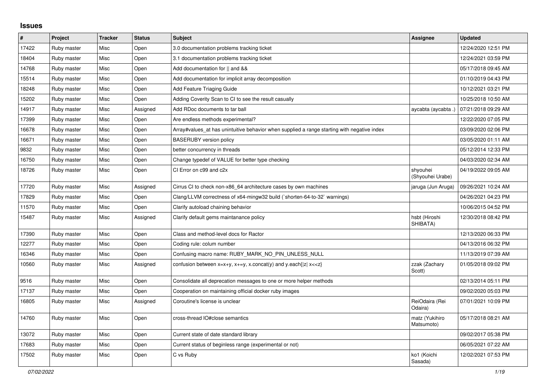## **Issues**

| $\sharp$ | Project     | <b>Tracker</b> | <b>Status</b> | <b>Subject</b>                                                                              | <b>Assignee</b>              | <b>Updated</b>      |
|----------|-------------|----------------|---------------|---------------------------------------------------------------------------------------------|------------------------------|---------------------|
| 17422    | Ruby master | Misc           | Open          | 3.0 documentation problems tracking ticket                                                  |                              | 12/24/2020 12:51 PM |
| 18404    | Ruby master | Misc           | Open          | 3.1 documentation problems tracking ticket                                                  |                              | 12/24/2021 03:59 PM |
| 14768    | Ruby master | Misc           | Open          | Add documentation for    and &&                                                             |                              | 05/17/2018 09:45 AM |
| 15514    | Ruby master | Misc           | Open          | Add documentation for implicit array decomposition                                          |                              | 01/10/2019 04:43 PM |
| 18248    | Ruby master | Misc           | Open          | Add Feature Triaging Guide                                                                  |                              | 10/12/2021 03:21 PM |
| 15202    | Ruby master | Misc           | Open          | Adding Coverity Scan to CI to see the result casually                                       |                              | 10/25/2018 10:50 AM |
| 14917    | Ruby master | Misc           | Assigned      | Add RDoc documents to tar ball                                                              | aycabta (aycabta .)          | 07/21/2018 09:29 AM |
| 17399    | Ruby master | Misc           | Open          | Are endless methods experimental?                                                           |                              | 12/22/2020 07:05 PM |
| 16678    | Ruby master | Misc           | Open          | Array#values_at has unintuitive behavior when supplied a range starting with negative index |                              | 03/09/2020 02:06 PM |
| 16671    | Ruby master | Misc           | Open          | <b>BASERUBY</b> version policy                                                              |                              | 03/05/2020 01:11 AM |
| 9832     | Ruby master | Misc           | Open          | better concurrency in threads                                                               |                              | 05/12/2014 12:33 PM |
| 16750    | Ruby master | Misc           | Open          | Change typedef of VALUE for better type checking                                            |                              | 04/03/2020 02:34 AM |
| 18726    | Ruby master | Misc           | Open          | CI Error on c99 and c2x                                                                     | shyouhei<br>(Shyouhei Urabe) | 04/19/2022 09:05 AM |
| 17720    | Ruby master | Misc           | Assigned      | Cirrus CI to check non-x86 64 architecture cases by own machines                            | jaruga (Jun Aruga)           | 09/26/2021 10:24 AM |
| 17829    | Ruby master | Misc           | Open          | Clang/LLVM correctness of x64-mingw32 build (`shorten-64-to-32` warnings)                   |                              | 04/26/2021 04:23 PM |
| 11570    | Ruby master | Misc           | Open          | Clarify autoload chaining behavior                                                          |                              | 10/06/2015 04:52 PM |
| 15487    | Ruby master | Misc           | Assigned      | Clarify default gems maintanance policy                                                     | hsbt (Hiroshi<br>SHIBATA)    | 12/30/2018 08:42 PM |
| 17390    | Ruby master | Misc           | Open          | Class and method-level docs for Ractor                                                      |                              | 12/13/2020 06:33 PM |
| 12277    | Ruby master | Misc           | Open          | Coding rule: colum number                                                                   |                              | 04/13/2016 06:32 PM |
| 16346    | Ruby master | Misc           | Open          | Confusing macro name: RUBY MARK NO PIN UNLESS NULL                                          |                              | 11/13/2019 07:39 AM |
| 10560    | Ruby master | Misc           | Assigned      | confusion between $x=x+y$ , $x+=y$ , x.concat(y) and y.each{ z  $x<}$                       | zzak (Zachary<br>Scott)      | 01/05/2018 09:02 PM |
| 9516     | Ruby master | Misc           | Open          | Consolidate all deprecation messages to one or more helper methods                          |                              | 02/13/2014 05:11 PM |
| 17137    | Ruby master | Misc           | Open          | Cooperation on maintaining official docker ruby images                                      |                              | 09/02/2020 05:03 PM |
| 16805    | Ruby master | Misc           | Assigned      | Coroutine's license is unclear                                                              | ReiOdaira (Rei<br>Odaira)    | 07/01/2021 10:09 PM |
| 14760    | Ruby master | Misc           | Open          | cross-thread IO#close semantics                                                             | matz (Yukihiro<br>Matsumoto) | 05/17/2018 08:21 AM |
| 13072    | Ruby master | Misc           | Open          | Current state of date standard library                                                      |                              | 09/02/2017 05:38 PM |
| 17683    | Ruby master | Misc           | Open          | Current status of beginless range (experimental or not)                                     |                              | 06/05/2021 07:22 AM |
| 17502    | Ruby master | Misc           | Open          | C vs Ruby                                                                                   | ko1 (Koichi<br>Sasada)       | 12/02/2021 07:53 PM |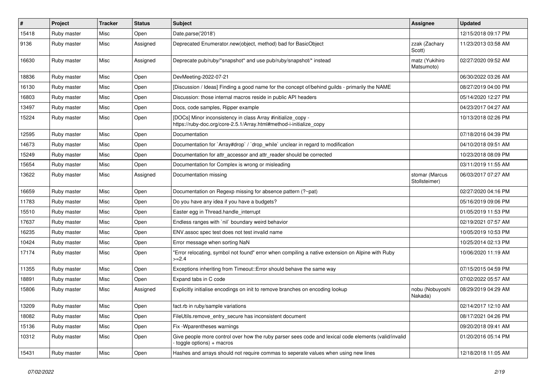| #     | Project     | <b>Tracker</b> | <b>Status</b> | <b>Subject</b>                                                                                                                       | <b>Assignee</b>                 | <b>Updated</b>      |
|-------|-------------|----------------|---------------|--------------------------------------------------------------------------------------------------------------------------------------|---------------------------------|---------------------|
| 15418 | Ruby master | Misc           | Open          | Date.parse('2018')                                                                                                                   |                                 | 12/15/2018 09:17 PM |
| 9136  | Ruby master | Misc           | Assigned      | Deprecated Enumerator.new(object, method) bad for BasicObject                                                                        | zzak (Zachary<br>Scott)         | 11/23/2013 03:58 AM |
| 16630 | Ruby master | Misc           | Assigned      | Deprecate pub/ruby/*snapshot* and use pub/ruby/snapshot/* instead                                                                    | matz (Yukihiro<br>Matsumoto)    | 02/27/2020 09:52 AM |
| 18836 | Ruby master | Misc           | Open          | DevMeeting-2022-07-21                                                                                                                |                                 | 06/30/2022 03:26 AM |
| 16130 | Ruby master | Misc           | Open          | [Discussion / Ideas] Finding a good name for the concept of/behind guilds - primarily the NAME                                       |                                 | 08/27/2019 04:00 PM |
| 16803 | Ruby master | Misc           | Open          | Discussion: those internal macros reside in public API headers                                                                       |                                 | 05/14/2020 12:27 PM |
| 13497 | Ruby master | Misc           | Open          | Docs, code samples, Ripper example                                                                                                   |                                 | 04/23/2017 04:27 AM |
| 15224 | Ruby master | Misc           | Open          | [DOCs] Minor inconsistency in class Array #initialize_copy -<br>https://ruby-doc.org/core-2.5.1/Array.html#method-i-initialize_copy  |                                 | 10/13/2018 02:26 PM |
| 12595 | Ruby master | Misc           | Open          | Documentation                                                                                                                        |                                 | 07/18/2016 04:39 PM |
| 14673 | Ruby master | Misc           | Open          | Documentation for `Array#drop` / `drop_while` unclear in regard to modification                                                      |                                 | 04/10/2018 09:51 AM |
| 15249 | Ruby master | Misc           | Open          | Documentation for attr accessor and attr reader should be corrected                                                                  |                                 | 10/23/2018 08:09 PM |
| 15654 | Ruby master | Misc           | Open          | Documentation for Complex is wrong or misleading                                                                                     |                                 | 03/11/2019 11:55 AM |
| 13622 | Ruby master | Misc           | Assigned      | Documentation missing                                                                                                                | stomar (Marcus<br>Stollsteimer) | 06/03/2017 07:27 AM |
| 16659 | Ruby master | Misc           | Open          | Documentation on Regexp missing for absence pattern (?~pat)                                                                          |                                 | 02/27/2020 04:16 PM |
| 11783 | Ruby master | Misc           | Open          | Do you have any idea if you have a budgets?                                                                                          |                                 | 05/16/2019 09:06 PM |
| 15510 | Ruby master | Misc           | Open          | Easter egg in Thread.handle_interrupt                                                                                                |                                 | 01/05/2019 11:53 PM |
| 17637 | Ruby master | Misc           | Open          | Endless ranges with `nil` boundary weird behavior                                                                                    |                                 | 02/19/2021 07:57 AM |
| 16235 | Ruby master | Misc           | Open          | ENV assoc spec test does not test invalid name                                                                                       |                                 | 10/05/2019 10:53 PM |
| 10424 | Ruby master | Misc           | Open          | Error message when sorting NaN                                                                                                       |                                 | 10/25/2014 02:13 PM |
| 17174 | Ruby master | Misc           | Open          | 'Error relocating, symbol not found" error when compiling a native extension on Alpine with Ruby<br>$>=2.4$                          |                                 | 10/06/2020 11:19 AM |
| 11355 | Ruby master | Misc           | Open          | Exceptions inheriting from Timeout:: Error should behave the same way                                                                |                                 | 07/15/2015 04:59 PM |
| 18891 | Ruby master | Misc           | Open          | Expand tabs in C code                                                                                                                |                                 | 07/02/2022 05:57 AM |
| 15806 | Ruby master | Misc           | Assigned      | Explicitly initialise encodings on init to remove branches on encoding lookup                                                        | nobu (Nobuyoshi<br>Nakada)      | 08/29/2019 04:29 AM |
| 13209 | Ruby master | Misc           | Open          | fact.rb in ruby/sample variations                                                                                                    |                                 | 02/14/2017 12:10 AM |
| 18082 | Ruby master | Misc           | Open          | FileUtils.remove_entry_secure has inconsistent document                                                                              |                                 | 08/17/2021 04:26 PM |
| 15136 | Ruby master | Misc           | Open          | Fix - Wparentheses warnings                                                                                                          |                                 | 09/20/2018 09:41 AM |
| 10312 | Ruby master | Misc           | Open          | Give people more control over how the ruby parser sees code and lexical code elements (valid/invalid<br>$-$ toggle options) + macros |                                 | 01/20/2016 05:14 PM |
| 15431 | Ruby master | Misc           | Open          | Hashes and arrays should not require commas to seperate values when using new lines                                                  |                                 | 12/18/2018 11:05 AM |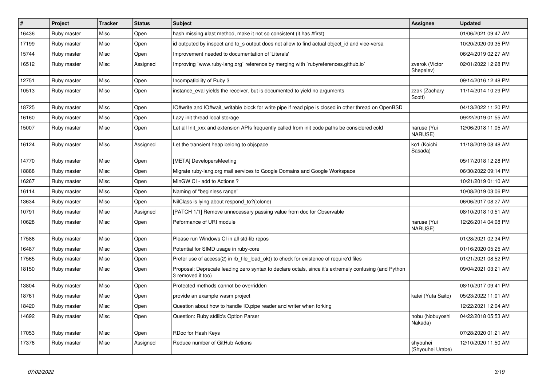| $\pmb{\sharp}$ | <b>Project</b> | <b>Tracker</b> | <b>Status</b> | <b>Subject</b>                                                                                                             | <b>Assignee</b>              | <b>Updated</b>      |
|----------------|----------------|----------------|---------------|----------------------------------------------------------------------------------------------------------------------------|------------------------------|---------------------|
| 16436          | Ruby master    | Misc           | Open          | hash missing #last method, make it not so consistent (it has #first)                                                       |                              | 01/06/2021 09:47 AM |
| 17199          | Ruby master    | Misc           | Open          | id outputed by inspect and to_s output does not allow to find actual object_id and vice-versa                              |                              | 10/20/2020 09:35 PM |
| 15744          | Ruby master    | Misc           | Open          | Improvement needed to documentation of 'Literals'                                                                          |                              | 06/24/2019 02:27 AM |
| 16512          | Ruby master    | Misc           | Assigned      | Improving `www.ruby-lang.org` reference by merging with `rubyreferences.github.io`                                         | zverok (Victor<br>Shepelev)  | 02/01/2022 12:28 PM |
| 12751          | Ruby master    | Misc           | Open          | Incompatibility of Ruby 3                                                                                                  |                              | 09/14/2016 12:48 PM |
| 10513          | Ruby master    | Misc           | Open          | instance eval yields the receiver, but is documented to yield no arguments                                                 | zzak (Zachary<br>Scott)      | 11/14/2014 10:29 PM |
| 18725          | Ruby master    | Misc           | Open          | IO#write and IO#wait writable block for write pipe if read pipe is closed in other thread on OpenBSD                       |                              | 04/13/2022 11:20 PM |
| 16160          | Ruby master    | Misc           | Open          | Lazy init thread local storage                                                                                             |                              | 09/22/2019 01:55 AM |
| 15007          | Ruby master    | Misc           | Open          | Let all Init_xxx and extension APIs frequently called from init code paths be considered cold                              | naruse (Yui<br>NARUSE)       | 12/06/2018 11:05 AM |
| 16124          | Ruby master    | Misc           | Assigned      | Let the transient heap belong to objspace                                                                                  | ko1 (Koichi<br>Sasada)       | 11/18/2019 08:48 AM |
| 14770          | Ruby master    | Misc           | Open          | [META] DevelopersMeeting                                                                                                   |                              | 05/17/2018 12:28 PM |
| 18888          | Ruby master    | Misc           | Open          | Migrate ruby-lang.org mail services to Google Domains and Google Workspace                                                 |                              | 06/30/2022 09:14 PM |
| 16267          | Ruby master    | Misc           | Open          | MinGW CI - add to Actions?                                                                                                 |                              | 10/21/2019 01:10 AM |
| 16114          | Ruby master    | Misc           | Open          | Naming of "beginless range"                                                                                                |                              | 10/08/2019 03:06 PM |
| 13634          | Ruby master    | Misc           | Open          | NilClass is lying about respond_to?(:clone)                                                                                |                              | 06/06/2017 08:27 AM |
| 10791          | Ruby master    | Misc           | Assigned      | [PATCH 1/1] Remove unnecessary passing value from doc for Observable                                                       |                              | 08/10/2018 10:51 AM |
| 10628          | Ruby master    | Misc           | Open          | Peformance of URI module                                                                                                   | naruse (Yui<br>NARUSE)       | 12/26/2014 04:08 PM |
| 17586          | Ruby master    | Misc           | Open          | Please run Windows CI in all std-lib repos                                                                                 |                              | 01/28/2021 02:34 PM |
| 16487          | Ruby master    | Misc           | Open          | Potential for SIMD usage in ruby-core                                                                                      |                              | 01/16/2020 05:25 AM |
| 17565          | Ruby master    | Misc           | Open          | Prefer use of access(2) in rb_file_load_ok() to check for existence of require'd files                                     |                              | 01/21/2021 08:52 PM |
| 18150          | Ruby master    | Misc           | Open          | Proposal: Deprecate leading zero syntax to declare octals, since it's extremely confusing (and Python<br>3 removed it too) |                              | 09/04/2021 03:21 AM |
| 13804          | Ruby master    | Misc           | Open          | Protected methods cannot be overridden                                                                                     |                              | 08/10/2017 09:41 PM |
| 18761          | Ruby master    | Misc           | Open          | provide an example wasm project                                                                                            | katei (Yuta Saito)           | 05/23/2022 11:01 AM |
| 18420          | Ruby master    | Misc           | Open          | Question about how to handle IO.pipe reader and writer when forking                                                        |                              | 12/22/2021 12:04 AM |
| 14692          | Ruby master    | Misc           | Open          | Question: Ruby stdlib's Option Parser                                                                                      | nobu (Nobuyoshi<br>Nakada)   | 04/22/2018 05:53 AM |
| 17053          | Ruby master    | Misc           | Open          | RDoc for Hash Keys                                                                                                         |                              | 07/28/2020 01:21 AM |
| 17376          | Ruby master    | Misc           | Assigned      | Reduce number of GitHub Actions                                                                                            | shyouhei<br>(Shyouhei Urabe) | 12/10/2020 11:50 AM |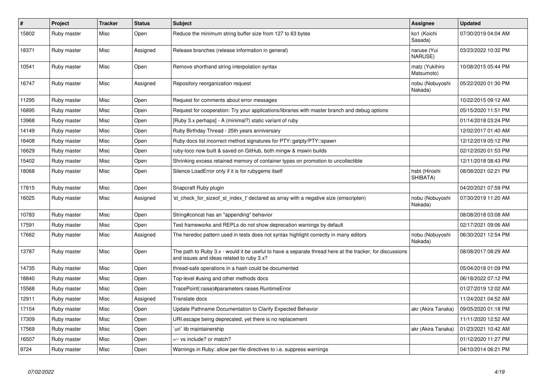| $\vert$ # | Project     | <b>Tracker</b> | <b>Status</b> | <b>Subject</b>                                                                                                                                        | Assignee                      | <b>Updated</b>      |
|-----------|-------------|----------------|---------------|-------------------------------------------------------------------------------------------------------------------------------------------------------|-------------------------------|---------------------|
| 15802     | Ruby master | Misc           | Open          | Reduce the minimum string buffer size from 127 to 63 bytes                                                                                            | ko1 (Koichi<br>Sasada)        | 07/30/2019 04:04 AM |
| 18371     | Ruby master | Misc           | Assigned      | Release branches (release information in general)                                                                                                     | naruse (Yui<br><b>NARUSE)</b> | 03/23/2022 10:32 PM |
| 10541     | Ruby master | Misc           | Open          | Remove shorthand string interpolation syntax                                                                                                          | matz (Yukihiro<br>Matsumoto)  | 10/08/2015 05:44 PM |
| 16747     | Ruby master | Misc           | Assigned      | Repository reorganization request                                                                                                                     | nobu (Nobuyoshi<br>Nakada)    | 05/22/2020 01:30 PM |
| 11295     | Ruby master | Misc           | Open          | Request for comments about error messages                                                                                                             |                               | 10/22/2015 09:12 AM |
| 16895     | Ruby master | Misc           | Open          | Request for cooperation: Try your applications/libraries with master branch and debug options                                                         |                               | 05/15/2020 11:51 PM |
| 13968     | Ruby master | Misc           | Open          | [Ruby 3.x perhaps] - A (minimal?) static variant of ruby                                                                                              |                               | 01/14/2018 03:24 PM |
| 14149     | Ruby master | Misc           | Open          | Ruby Birthday Thread - 25th years anniversary                                                                                                         |                               | 12/02/2017 01:40 AM |
| 16408     | Ruby master | Misc           | Open          | Ruby docs list incorrect method signatures for PTY::getpty/PTY::spawn                                                                                 |                               | 12/12/2019 05:12 PM |
| 16629     | Ruby master | Misc           | Open          | ruby-loco now built & saved on GitHub, both mingw & mswin builds                                                                                      |                               | 02/12/2020 01:53 PM |
| 15402     | Ruby master | Misc           | Open          | Shrinking excess retained memory of container types on promotion to uncollectible                                                                     |                               | 12/11/2018 08:43 PM |
| 18068     | Ruby master | Misc           | Open          | Silence LoadError only if it is for rubygems itself                                                                                                   | hsbt (Hiroshi<br>SHIBATA)     | 08/08/2021 02:21 PM |
| 17815     | Ruby master | Misc           | Open          | Snapcraft Ruby plugin                                                                                                                                 |                               | 04/20/2021 07:59 PM |
| 16025     | Ruby master | Misc           | Assigned      | 'st check for sizeof st index t' declared as array with a negative size (emscripten)                                                                  | nobu (Nobuyoshi<br>Nakada)    | 07/30/2019 11:20 AM |
| 10783     | Ruby master | Misc           | Open          | String#concat has an "appending" behavior                                                                                                             |                               | 08/08/2018 03:08 AM |
| 17591     | Ruby master | Misc           | Open          | Test frameworks and REPLs do not show deprecation warnings by default                                                                                 |                               | 02/17/2021 09:06 AM |
| 17662     | Ruby master | Misc           | Assigned      | The heredoc pattern used in tests does not syntax highlight correctly in many editors                                                                 | nobu (Nobuyoshi<br>Nakada)    | 06/30/2021 12:54 PM |
| 13787     | Ruby master | Misc           | Open          | The path to Ruby 3.x - would it be useful to have a separate thread here at the tracker, for discussions<br>and issues and ideas related to ruby 3.x? |                               | 08/08/2017 08:29 AM |
| 14735     | Ruby master | Misc           | Open          | thread-safe operations in a hash could be documented                                                                                                  |                               | 05/04/2018 01:09 PM |
| 18840     | Ruby master | Misc           | Open          | Top-level #using and other methods docs                                                                                                               |                               | 06/18/2022 07:12 PM |
| 15568     | Ruby master | Misc           | Open          | TracePoint(:raise)#parameters raises RuntimeError                                                                                                     |                               | 01/27/2019 12:02 AM |
| 12911     | Ruby master | Misc           | Assigned      | Translate docs                                                                                                                                        |                               | 11/24/2021 04:52 AM |
| 17154     | Ruby master | Misc           | Open          | Update Pathname Documentation to Clarify Expected Behavior                                                                                            | akr (Akira Tanaka)            | 09/05/2020 01:18 PM |
| 17309     | Ruby master | Misc           | Open          | URI escape being deprecated, yet there is no replacement                                                                                              |                               | 11/11/2020 12:52 AM |
| 17569     | Ruby master | Misc           | Open          | 'uri' lib maintainership                                                                                                                              | akr (Akira Tanaka)            | 01/23/2021 10:42 AM |
| 16507     | Ruby master | Misc           | Open          | =~ vs include? or match?                                                                                                                              |                               | 01/12/2020 11:27 PM |
| 9724      | Ruby master | Misc           | Open          | Warnings in Ruby: allow per-file directives to i.e. suppress warnings                                                                                 |                               | 04/10/2014 06:21 PM |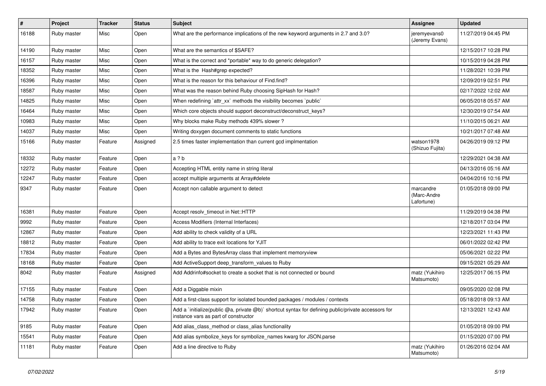| $\vert$ # | Project            | <b>Tracker</b> | <b>Status</b> | Subject                                                                                                                                     | Assignee                               | <b>Updated</b>      |
|-----------|--------------------|----------------|---------------|---------------------------------------------------------------------------------------------------------------------------------------------|----------------------------------------|---------------------|
| 16188     | Ruby master        | Misc           | Open          | What are the performance implications of the new keyword arguments in 2.7 and 3.0?                                                          | jeremyevans0<br>(Jeremy Evans)         | 11/27/2019 04:45 PM |
| 14190     | Ruby master        | Misc           | Open          | What are the semantics of \$SAFE?                                                                                                           |                                        | 12/15/2017 10:28 PM |
| 16157     | Ruby master        | Misc           | Open          | What is the correct and *portable* way to do generic delegation?                                                                            |                                        | 10/15/2019 04:28 PM |
| 18352     | Ruby master        | Misc           | Open          | What is the Hash#grep expected?                                                                                                             |                                        | 11/28/2021 10:39 PM |
| 16396     | Ruby master        | Misc           | Open          | What is the reason for this behaviour of Find.find?                                                                                         |                                        | 12/09/2019 02:51 PM |
| 18587     | Ruby master        | Misc           | Open          | What was the reason behind Ruby choosing SipHash for Hash?                                                                                  |                                        | 02/17/2022 12:02 AM |
| 14825     | Ruby master        | Misc           | Open          | When redefining 'attr_xx' methods the visibility becomes 'public'                                                                           |                                        | 06/05/2018 05:57 AM |
| 16464     | Ruby master        | Misc           | Open          | Which core objects should support deconstruct/deconstruct_keys?                                                                             |                                        | 12/30/2019 07:54 AM |
| 10983     | Ruby master        | Misc           | Open          | Why blocks make Ruby methods 439% slower?                                                                                                   |                                        | 11/10/2015 06:21 AM |
| 14037     | Ruby master        | Misc           | Open          | Writing doxygen document comments to static functions                                                                                       |                                        | 10/21/2017 07:48 AM |
| 15166     | Ruby master        | Feature        | Assigned      | 2.5 times faster implementation than current gcd implmentation                                                                              | watson1978<br>(Shizuo Fujita)          | 04/26/2019 09:12 PM |
| 18332     | Ruby master        | Feature        | Open          | a ? b                                                                                                                                       |                                        | 12/29/2021 04:38 AM |
| 12272     | Ruby master        | Feature        | Open          | Accepting HTML entity name in string literal                                                                                                |                                        | 04/13/2016 05:16 AM |
| 12247     | Ruby master        | Feature        | Open          | accept multiple arguments at Array#delete                                                                                                   |                                        | 04/04/2016 10:16 PM |
| 9347      | Ruby master        | Feature        | Open          | Accept non callable argument to detect                                                                                                      | marcandre<br>(Marc-Andre<br>Lafortune) | 01/05/2018 09:00 PM |
| 16381     | Ruby master        | Feature        | Open          | Accept resolv_timeout in Net::HTTP                                                                                                          |                                        | 11/29/2019 04:38 PM |
| 9992      | Ruby master        | Feature        | Open          | Access Modifiers (Internal Interfaces)                                                                                                      |                                        | 12/18/2017 03:04 PM |
| 12867     | Ruby master        | Feature        | Open          | Add ability to check validity of a URL                                                                                                      |                                        | 12/23/2021 11:43 PM |
| 18812     | Ruby master        | Feature        | Open          | Add ability to trace exit locations for YJIT                                                                                                |                                        | 06/01/2022 02:42 PM |
| 17834     | Ruby master        | Feature        | Open          | Add a Bytes and BytesArray class that implement memoryview                                                                                  |                                        | 05/06/2021 02:22 PM |
| 18168     | Ruby master        | Feature        | Open          | Add ActiveSupport deep_transform_values to Ruby                                                                                             |                                        | 09/15/2021 05:29 AM |
| 8042      | Ruby master        | Feature        | Assigned      | Add Addrinfo#socket to create a socket that is not connected or bound                                                                       | matz (Yukihiro<br>Matsumoto)           | 12/25/2017 06:15 PM |
| 17155     | Ruby master        | Feature        | Open          | Add a Diggable mixin                                                                                                                        |                                        | 09/05/2020 02:08 PM |
| 14758     | Ruby master        | Feature        | Open          | Add a first-class support for isolated bounded packages / modules / contexts                                                                |                                        | 05/18/2018 09:13 AM |
| 17942     | <b>Ruby master</b> | Feature        | Open          | Add a `initialize(public @a, private @b)` shortcut syntax for defining public/private accessors for<br>instance vars as part of constructor |                                        | 12/13/2021 12:43 AM |
| 9185      | Ruby master        | Feature        | Open          | Add alias class method or class alias functionality                                                                                         |                                        | 01/05/2018 09:00 PM |
| 15541     | Ruby master        | Feature        | Open          | Add alias symbolize_keys for symbolize_names kwarg for JSON.parse                                                                           |                                        | 01/15/2020 07:00 PM |
| 11181     | Ruby master        | Feature        | Open          | Add a line directive to Ruby                                                                                                                | matz (Yukihiro<br>Matsumoto)           | 01/26/2016 02:04 AM |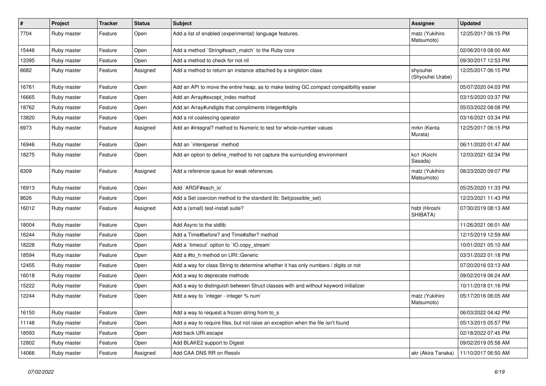| $\pmb{\#}$ | Project     | <b>Tracker</b> | <b>Status</b> | Subject                                                                                | <b>Assignee</b>              | <b>Updated</b>      |
|------------|-------------|----------------|---------------|----------------------------------------------------------------------------------------|------------------------------|---------------------|
| 7704       | Ruby master | Feature        | Open          | Add a list of enabled (experimental) language features.                                | matz (Yukihiro<br>Matsumoto) | 12/25/2017 06:15 PM |
| 15446      | Ruby master | Feature        | Open          | Add a method `String#each_match` to the Ruby core                                      |                              | 02/06/2019 08:00 AM |
| 13395      | Ruby master | Feature        | Open          | Add a method to check for not nil                                                      |                              | 09/30/2017 12:53 PM |
| 6682       | Ruby master | Feature        | Assigned      | Add a method to return an instance attached by a singleton class                       | shyouhei<br>(Shyouhei Urabe) | 12/25/2017 06:15 PM |
| 16761      | Ruby master | Feature        | Open          | Add an API to move the entire heap, as to make testing GC.compact compatibility easier |                              | 05/07/2020 04:03 PM |
| 16665      | Ruby master | Feature        | Open          | Add an Array#except_index method                                                       |                              | 03/15/2020 03:37 PM |
| 18762      | Ruby master | Feature        | Open          | Add an Array#undigits that compliments Integer#digits                                  |                              | 05/03/2022 08:08 PM |
| 13820      | Ruby master | Feature        | Open          | Add a nil coalescing operator                                                          |                              | 03/16/2021 03:34 PM |
| 6973       | Ruby master | Feature        | Assigned      | Add an #integral? method to Numeric to test for whole-number values                    | mrkn (Kenta<br>Murata)       | 12/25/2017 06:15 PM |
| 16946      | Ruby master | Feature        | Open          | Add an `intersperse` method                                                            |                              | 06/11/2020 01:47 AM |
| 18275      | Ruby master | Feature        | Open          | Add an option to define_method to not capture the surrounding environment              | ko1 (Koichi<br>Sasada)       | 12/03/2021 02:34 PM |
| 6309       | Ruby master | Feature        | Assigned      | Add a reference queue for weak references                                              | matz (Yukihiro<br>Matsumoto) | 08/23/2020 09:07 PM |
| 16913      | Ruby master | Feature        | Open          | Add `ARGF#each_io`                                                                     |                              | 05/25/2020 11:33 PM |
| 8626       | Ruby master | Feature        | Open          | Add a Set coercion method to the standard lib: Set(possible set)                       |                              | 12/23/2021 11:43 PM |
| 16012      | Ruby master | Feature        | Assigned      | Add a (small) test-install suite?                                                      | hsbt (Hiroshi<br>SHIBATA)    | 07/30/2019 08:13 AM |
| 18004      | Ruby master | Feature        | Open          | Add Async to the stdlib                                                                |                              | 11/26/2021 06:01 AM |
| 16244      | Ruby master | Feature        | Open          | Add a Time#before? and Time#after? method                                              |                              | 12/15/2019 12:59 AM |
| 18228      | Ruby master | Feature        | Open          | Add a 'timeout' option to 'IO.copy_stream'                                             |                              | 10/01/2021 05:10 AM |
| 18594      | Ruby master | Feature        | Open          | Add a #to_h method on URI::Generic                                                     |                              | 03/31/2022 01:18 PM |
| 12455      | Ruby master | Feature        | Open          | Add a way for class String to determine whether it has only numbers / digits or not    |                              | 07/20/2016 03:13 AM |
| 16018      | Ruby master | Feature        | Open          | Add a way to deprecate methods                                                         |                              | 09/02/2019 06:24 AM |
| 15222      | Ruby master | Feature        | Open          | Add a way to distinguish between Struct classes with and without keyword initializer   |                              | 10/11/2018 01:16 PM |
| 12244      | Ruby master | Feature        | Open          | Add a way to `integer - integer % num`                                                 | matz (Yukihiro<br>Matsumoto) | 05/17/2016 06:05 AM |
| 16150      | Ruby master | Feature        | Open          | Add a way to request a frozen string from to_s                                         |                              | 06/03/2022 04:42 PM |
| 11148      | Ruby master | Feature        | Open          | Add a way to require files, but not raise an exception when the file isn't found       |                              | 05/13/2015 05:57 PM |
| 18593      | Ruby master | Feature        | Open          | Add back URI.escape                                                                    |                              | 02/18/2022 07:45 PM |
| 12802      | Ruby master | Feature        | Open          | Add BLAKE2 support to Digest                                                           |                              | 09/02/2019 05:58 AM |
| 14066      | Ruby master | Feature        | Assigned      | Add CAA DNS RR on Resolv                                                               | akr (Akira Tanaka)           | 11/10/2017 06:50 AM |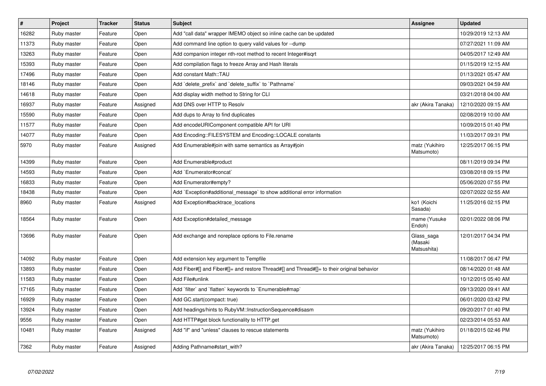| $\vert$ # | <b>Project</b> | <b>Tracker</b> | <b>Status</b> | <b>Subject</b>                                                                             | <b>Assignee</b>                      | <b>Updated</b>      |
|-----------|----------------|----------------|---------------|--------------------------------------------------------------------------------------------|--------------------------------------|---------------------|
| 16282     | Ruby master    | Feature        | Open          | Add "call data" wrapper IMEMO object so inline cache can be updated                        |                                      | 10/29/2019 12:13 AM |
| 11373     | Ruby master    | Feature        | Open          | Add command line option to query valid values for --dump                                   |                                      | 07/27/2021 11:09 AM |
| 13263     | Ruby master    | Feature        | Open          | Add companion integer nth-root method to recent Integer#isgrt                              |                                      | 04/05/2017 12:49 AM |
| 15393     | Ruby master    | Feature        | Open          | Add compilation flags to freeze Array and Hash literals                                    |                                      | 01/15/2019 12:15 AM |
| 17496     | Ruby master    | Feature        | Open          | Add constant Math::TAU                                                                     |                                      | 01/13/2021 05:47 AM |
| 18146     | Ruby master    | Feature        | Open          | Add `delete_prefix` and `delete_suffix` to `Pathname`                                      |                                      | 09/03/2021 04:59 AM |
| 14618     | Ruby master    | Feature        | Open          | Add display width method to String for CLI                                                 |                                      | 03/21/2018 04:00 AM |
| 16937     | Ruby master    | Feature        | Assigned      | Add DNS over HTTP to Resolv                                                                | akr (Akira Tanaka)                   | 12/10/2020 09:15 AM |
| 15590     | Ruby master    | Feature        | Open          | Add dups to Array to find duplicates                                                       |                                      | 02/08/2019 10:00 AM |
| 11577     | Ruby master    | Feature        | Open          | Add encodeURIComponent compatible API for URI                                              |                                      | 10/09/2015 01:40 PM |
| 14077     | Ruby master    | Feature        | Open          | Add Encoding::FILESYSTEM and Encoding::LOCALE constants                                    |                                      | 11/03/2017 09:31 PM |
| 5970      | Ruby master    | Feature        | Assigned      | Add Enumerable#join with same semantics as Array#join                                      | matz (Yukihiro<br>Matsumoto)         | 12/25/2017 06:15 PM |
| 14399     | Ruby master    | Feature        | Open          | Add Enumerable#product                                                                     |                                      | 08/11/2019 09:34 PM |
| 14593     | Ruby master    | Feature        | Open          | Add `Enumerator#concat`                                                                    |                                      | 03/08/2018 09:15 PM |
| 16833     | Ruby master    | Feature        | Open          | Add Enumerator#empty?                                                                      |                                      | 05/06/2020 07:55 PM |
| 18438     | Ruby master    | Feature        | Open          | Add `Exception#additional_message` to show additional error information                    |                                      | 02/07/2022 02:55 AM |
| 8960      | Ruby master    | Feature        | Assigned      | Add Exception#backtrace locations                                                          | ko1 (Koichi<br>Sasada)               | 11/25/2016 02:15 PM |
| 18564     | Ruby master    | Feature        | Open          | Add Exception#detailed_message                                                             | mame (Yusuke<br>Endoh)               | 02/01/2022 08:06 PM |
| 13696     | Ruby master    | Feature        | Open          | Add exchange and noreplace options to File.rename                                          | Glass_saga<br>(Masaki<br>Matsushita) | 12/01/2017 04:34 PM |
| 14092     | Ruby master    | Feature        | Open          | Add extension key argument to Tempfile                                                     |                                      | 11/08/2017 06:47 PM |
| 13893     | Ruby master    | Feature        | Open          | Add Fiber#[] and Fiber#[]= and restore Thread#[] and Thread#[]= to their original behavior |                                      | 08/14/2020 01:48 AM |
| 11583     | Ruby master    | Feature        | Open          | Add File#unlink                                                                            |                                      | 10/12/2015 05:40 AM |
| 17165     | Ruby master    | Feature        | Open          | Add `filter` and `flatten` keywords to `Enumerable#map`                                    |                                      | 09/13/2020 09:41 AM |
| 16929     | Ruby master    | Feature        | Open          | Add GC.start(compact: true)                                                                |                                      | 06/01/2020 03:42 PM |
| 13924     | Ruby master    | Feature        | Open          | Add headings/hints to RubyVM::InstructionSequence#disasm                                   |                                      | 09/20/2017 01:40 PM |
| 9556      | Ruby master    | Feature        | Open          | Add HTTP#get block functionality to HTTP.get                                               |                                      | 02/23/2014 05:53 AM |
| 10481     | Ruby master    | Feature        | Assigned      | Add "if" and "unless" clauses to rescue statements                                         | matz (Yukihiro<br>Matsumoto)         | 01/18/2015 02:46 PM |
| 7362      | Ruby master    | Feature        | Assigned      | Adding Pathname#start with?                                                                | akr (Akira Tanaka)                   | 12/25/2017 06:15 PM |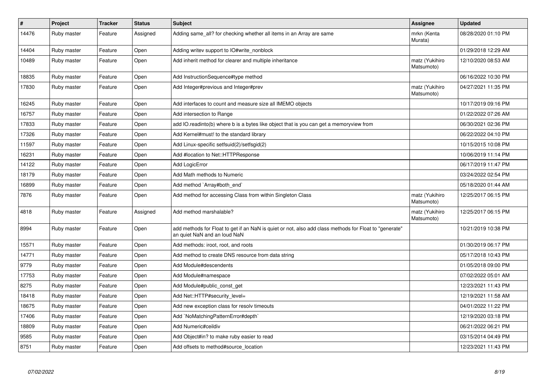| $\pmb{\#}$ | Project     | <b>Tracker</b> | <b>Status</b> | <b>Subject</b>                                                                                                                         | <b>Assignee</b>              | <b>Updated</b>      |
|------------|-------------|----------------|---------------|----------------------------------------------------------------------------------------------------------------------------------------|------------------------------|---------------------|
| 14476      | Ruby master | Feature        | Assigned      | Adding same_all? for checking whether all items in an Array are same                                                                   | mrkn (Kenta<br>Murata)       | 08/28/2020 01:10 PM |
| 14404      | Ruby master | Feature        | Open          | Adding writev support to IO#write_nonblock                                                                                             |                              | 01/29/2018 12:29 AM |
| 10489      | Ruby master | Feature        | Open          | Add inherit method for clearer and multiple inheritance                                                                                | matz (Yukihiro<br>Matsumoto) | 12/10/2020 08:53 AM |
| 18835      | Ruby master | Feature        | Open          | Add InstructionSequence#type method                                                                                                    |                              | 06/16/2022 10:30 PM |
| 17830      | Ruby master | Feature        | Open          | Add Integer#previous and Integer#prev                                                                                                  | matz (Yukihiro<br>Matsumoto) | 04/27/2021 11:35 PM |
| 16245      | Ruby master | Feature        | Open          | Add interfaces to count and measure size all IMEMO objects                                                                             |                              | 10/17/2019 09:16 PM |
| 16757      | Ruby master | Feature        | Open          | Add intersection to Range                                                                                                              |                              | 01/22/2022 07:26 AM |
| 17833      | Ruby master | Feature        | Open          | add IO.readinto(b) where b is a bytes like object that is you can get a memoryview from                                                |                              | 06/30/2021 02:36 PM |
| 17326      | Ruby master | Feature        | Open          | Add Kernel#must! to the standard library                                                                                               |                              | 06/22/2022 04:10 PM |
| 11597      | Ruby master | Feature        | Open          | Add Linux-specific setfsuid(2)/setfsgid(2)                                                                                             |                              | 10/15/2015 10:08 PM |
| 16231      | Ruby master | Feature        | Open          | Add #location to Net::HTTPResponse                                                                                                     |                              | 10/06/2019 11:14 PM |
| 14122      | Ruby master | Feature        | Open          | Add LogicError                                                                                                                         |                              | 06/17/2019 11:47 PM |
| 18179      | Ruby master | Feature        | Open          | Add Math methods to Numeric                                                                                                            |                              | 03/24/2022 02:54 PM |
| 16899      | Ruby master | Feature        | Open          | Add method `Array#both end`                                                                                                            |                              | 05/18/2020 01:44 AM |
| 7876       | Ruby master | Feature        | Open          | Add method for accessing Class from within Singleton Class                                                                             | matz (Yukihiro<br>Matsumoto) | 12/25/2017 06:15 PM |
| 4818       | Ruby master | Feature        | Assigned      | Add method marshalable?                                                                                                                | matz (Yukihiro<br>Matsumoto) | 12/25/2017 06:15 PM |
| 8994       | Ruby master | Feature        | Open          | add methods for Float to get if an NaN is quiet or not, also add class methods for Float to "generate"<br>an quiet NaN and an loud NaN |                              | 10/21/2019 10:38 PM |
| 15571      | Ruby master | Feature        | Open          | Add methods: iroot, root, and roots                                                                                                    |                              | 01/30/2019 06:17 PM |
| 14771      | Ruby master | Feature        | Open          | Add method to create DNS resource from data string                                                                                     |                              | 05/17/2018 10:43 PM |
| 9779       | Ruby master | Feature        | Open          | Add Module#descendents                                                                                                                 |                              | 01/05/2018 09:00 PM |
| 17753      | Ruby master | Feature        | Open          | Add Module#namespace                                                                                                                   |                              | 07/02/2022 05:01 AM |
| 8275       | Ruby master | Feature        | Open          | Add Module#public const get                                                                                                            |                              | 12/23/2021 11:43 PM |
| 18418      | Ruby master | Feature        | Open          | Add Net::HTTP#security_level=                                                                                                          |                              | 12/19/2021 11:58 AM |
| 18675      | Ruby master | Feature        | Open          | Add new exception class for resolv timeouts                                                                                            |                              | 04/01/2022 11:22 PM |
| 17406      | Ruby master | Feature        | Open          | Add `NoMatchingPatternError#depth`                                                                                                     |                              | 12/19/2020 03:18 PM |
| 18809      | Ruby master | Feature        | Open          | Add Numeric#ceildiv                                                                                                                    |                              | 06/21/2022 06:21 PM |
| 9585       | Ruby master | Feature        | Open          | Add Object#in? to make ruby easier to read                                                                                             |                              | 03/15/2014 04:49 PM |
| 8751       | Ruby master | Feature        | Open          | Add offsets to method#source_location                                                                                                  |                              | 12/23/2021 11:43 PM |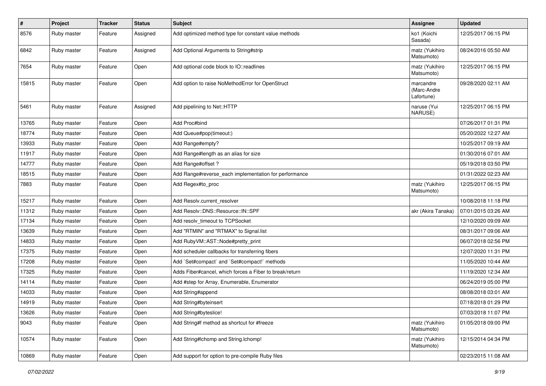| $\vert$ # | Project     | <b>Tracker</b> | <b>Status</b> | <b>Subject</b>                                          | <b>Assignee</b>                        | <b>Updated</b>      |
|-----------|-------------|----------------|---------------|---------------------------------------------------------|----------------------------------------|---------------------|
| 8576      | Ruby master | Feature        | Assigned      | Add optimized method type for constant value methods    | ko1 (Koichi<br>Sasada)                 | 12/25/2017 06:15 PM |
| 6842      | Ruby master | Feature        | Assigned      | Add Optional Arguments to String#strip                  | matz (Yukihiro<br>Matsumoto)           | 08/24/2016 05:50 AM |
| 7654      | Ruby master | Feature        | Open          | Add optional code block to IO::readlines                | matz (Yukihiro<br>Matsumoto)           | 12/25/2017 06:15 PM |
| 15815     | Ruby master | Feature        | Open          | Add option to raise NoMethodError for OpenStruct        | marcandre<br>(Marc-Andre<br>Lafortune) | 09/28/2020 02:11 AM |
| 5461      | Ruby master | Feature        | Assigned      | Add pipelining to Net::HTTP                             | naruse (Yui<br>NARUSE)                 | 12/25/2017 06:15 PM |
| 13765     | Ruby master | Feature        | Open          | Add Proc#bind                                           |                                        | 07/26/2017 01:31 PM |
| 18774     | Ruby master | Feature        | Open          | Add Queue#pop(timeout:)                                 |                                        | 05/20/2022 12:27 AM |
| 13933     | Ruby master | Feature        | Open          | Add Range#empty?                                        |                                        | 10/25/2017 09:19 AM |
| 11917     | Ruby master | Feature        | Open          | Add Range#length as an alias for size                   |                                        | 01/30/2016 07:01 AM |
| 14777     | Ruby master | Feature        | Open          | Add Range#offset?                                       |                                        | 05/19/2018 03:50 PM |
| 18515     | Ruby master | Feature        | Open          | Add Range#reverse_each implementation for performance   |                                        | 01/31/2022 02:23 AM |
| 7883      | Ruby master | Feature        | Open          | Add Regex#to_proc                                       | matz (Yukihiro<br>Matsumoto)           | 12/25/2017 06:15 PM |
| 15217     | Ruby master | Feature        | Open          | Add Resolv.current_resolver                             |                                        | 10/08/2018 11:18 PM |
| 11312     | Ruby master | Feature        | Open          | Add Resolv::DNS::Resource::IN::SPF                      | akr (Akira Tanaka)                     | 07/01/2015 03:26 AM |
| 17134     | Ruby master | Feature        | Open          | Add resolv timeout to TCPSocket                         |                                        | 12/10/2020 09:09 AM |
| 13639     | Ruby master | Feature        | Open          | Add "RTMIN" and "RTMAX" to Signal.list                  |                                        | 08/31/2017 09:06 AM |
| 14833     | Ruby master | Feature        | Open          | Add RubyVM::AST::Node#pretty_print                      |                                        | 06/07/2018 02:56 PM |
| 17375     | Ruby master | Feature        | Open          | Add scheduler callbacks for transferring fibers         |                                        | 12/07/2020 11:31 PM |
| 17208     | Ruby master | Feature        | Open          | Add `Set#compact` and `Set#compact!` methods            |                                        | 11/05/2020 10:44 AM |
| 17325     | Ruby master | Feature        | Open          | Adds Fiber#cancel, which forces a Fiber to break/return |                                        | 11/19/2020 12:34 AM |
| 14114     | Ruby master | Feature        | Open          | Add #step for Array, Enumerable, Enumerator             |                                        | 06/24/2019 05:00 PM |
| 14033     | Ruby master | Feature        | Open          | Add String#append                                       |                                        | 08/08/2018 03:01 AM |
| 14919     | Ruby master | Feature        | Open          | Add String#byteinsert                                   |                                        | 07/18/2018 01:29 PM |
| 13626     | Ruby master | Feature        | Open          | Add String#byteslice!                                   |                                        | 07/03/2018 11:07 PM |
| 9043      | Ruby master | Feature        | Open          | Add String#f method as shortcut for #freeze             | matz (Yukihiro<br>Matsumoto)           | 01/05/2018 09:00 PM |
| 10574     | Ruby master | Feature        | Open          | Add String#Ichomp and String.Ichomp!                    | matz (Yukihiro<br>Matsumoto)           | 12/15/2014 04:34 PM |
| 10869     | Ruby master | Feature        | Open          | Add support for option to pre-compile Ruby files        |                                        | 02/23/2015 11:08 AM |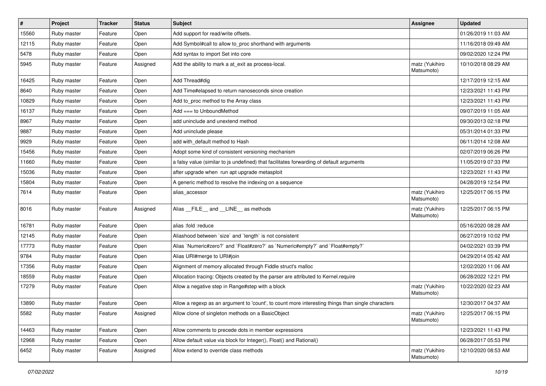| $\sharp$ | Project     | Tracker | <b>Status</b> | Subject                                                                                           | <b>Assignee</b>              | <b>Updated</b>      |
|----------|-------------|---------|---------------|---------------------------------------------------------------------------------------------------|------------------------------|---------------------|
| 15560    | Ruby master | Feature | Open          | Add support for read/write offsets.                                                               |                              | 01/26/2019 11:03 AM |
| 12115    | Ruby master | Feature | Open          | Add Symbol#call to allow to_proc shorthand with arguments                                         |                              | 11/16/2018 09:49 AM |
| 5478     | Ruby master | Feature | Open          | Add syntax to import Set into core                                                                |                              | 09/02/2020 12:24 PM |
| 5945     | Ruby master | Feature | Assigned      | Add the ability to mark a at_exit as process-local.                                               | matz (Yukihiro<br>Matsumoto) | 10/10/2018 08:29 AM |
| 16425    | Ruby master | Feature | Open          | Add Thread#dig                                                                                    |                              | 12/17/2019 12:15 AM |
| 8640     | Ruby master | Feature | Open          | Add Time#elapsed to return nanoseconds since creation                                             |                              | 12/23/2021 11:43 PM |
| 10829    | Ruby master | Feature | Open          | Add to_proc method to the Array class                                                             |                              | 12/23/2021 11:43 PM |
| 16137    | Ruby master | Feature | Open          | $Add == to UnboundMethod$                                                                         |                              | 09/07/2019 11:05 AM |
| 8967     | Ruby master | Feature | Open          | add uninclude and unextend method                                                                 |                              | 09/30/2013 02:18 PM |
| 9887     | Ruby master | Feature | Open          | Add uninclude please                                                                              |                              | 05/31/2014 01:33 PM |
| 9929     | Ruby master | Feature | Open          | add with default method to Hash                                                                   |                              | 06/11/2014 12:08 AM |
| 15456    | Ruby master | Feature | Open          | Adopt some kind of consistent versioning mechanism                                                |                              | 02/07/2019 06:26 PM |
| 11660    | Ruby master | Feature | Open          | a falsy value (similar to js undefined) that facilitates forwarding of default arguments          |                              | 11/05/2019 07:33 PM |
| 15036    | Ruby master | Feature | Open          | after upgrade when run apt upgrade metasploit                                                     |                              | 12/23/2021 11:43 PM |
| 15804    | Ruby master | Feature | Open          | A generic method to resolve the indexing on a sequence                                            |                              | 04/28/2019 12:54 PM |
| 7614     | Ruby master | Feature | Open          | alias accessor                                                                                    | matz (Yukihiro<br>Matsumoto) | 12/25/2017 06:15 PM |
| 8016     | Ruby master | Feature | Assigned      | Alias FILE and LINE as methods                                                                    | matz (Yukihiro<br>Matsumoto) | 12/25/2017 06:15 PM |
| 16781    | Ruby master | Feature | Open          | alias :fold :reduce                                                                               |                              | 05/16/2020 08:28 AM |
| 12145    | Ruby master | Feature | Open          | Aliashood between 'size' and 'length' is not consistent                                           |                              | 06/27/2019 10:02 PM |
| 17773    | Ruby master | Feature | Open          | Alias `Numeric#zero?` and `Float#zero?` as `Numeric#empty?` and `Float#empty?`                    |                              | 04/02/2021 03:39 PM |
| 9784     | Ruby master | Feature | Open          | Alias URI#merge to URI#join                                                                       |                              | 04/29/2014 05:42 AM |
| 17356    | Ruby master | Feature | Open          | Alignment of memory allocated through Fiddle struct's malloc                                      |                              | 12/02/2020 11:06 AM |
| 18559    | Ruby master | Feature | Open          | Allocation tracing: Objects created by the parser are attributed to Kernel.require                |                              | 06/28/2022 12:21 PM |
| 17279    | Ruby master | Feature | Open          | Allow a negative step in Range#step with a block                                                  | matz (Yukihiro<br>Matsumoto) | 10/22/2020 02:23 AM |
| 13890    | Ruby master | Feature | Open          | Allow a regexp as an argument to 'count', to count more interesting things than single characters |                              | 12/30/2017 04:37 AM |
| 5582     | Ruby master | Feature | Assigned      | Allow clone of singleton methods on a BasicObject                                                 | matz (Yukihiro<br>Matsumoto) | 12/25/2017 06:15 PM |
| 14463    | Ruby master | Feature | Open          | Allow comments to precede dots in member expressions                                              |                              | 12/23/2021 11:43 PM |
| 12968    | Ruby master | Feature | Open          | Allow default value via block for Integer(), Float() and Rational()                               |                              | 06/28/2017 05:53 PM |
| 6452     | Ruby master | Feature | Assigned      | Allow extend to override class methods                                                            | matz (Yukihiro<br>Matsumoto) | 12/10/2020 08:53 AM |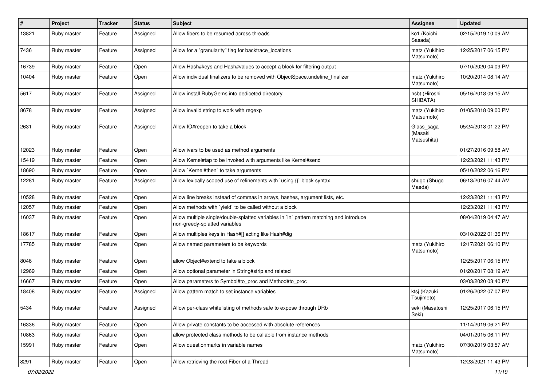| #     | Project     | <b>Tracker</b> | <b>Status</b> | <b>Subject</b>                                                                                                          | <b>Assignee</b>                      | <b>Updated</b>      |
|-------|-------------|----------------|---------------|-------------------------------------------------------------------------------------------------------------------------|--------------------------------------|---------------------|
| 13821 | Ruby master | Feature        | Assigned      | Allow fibers to be resumed across threads                                                                               | ko1 (Koichi<br>Sasada)               | 02/15/2019 10:09 AM |
| 7436  | Ruby master | Feature        | Assigned      | Allow for a "granularity" flag for backtrace locations                                                                  | matz (Yukihiro<br>Matsumoto)         | 12/25/2017 06:15 PM |
| 16739 | Ruby master | Feature        | Open          | Allow Hash#keys and Hash#values to accept a block for filtering output                                                  |                                      | 07/10/2020 04:09 PM |
| 10404 | Ruby master | Feature        | Open          | Allow individual finalizers to be removed with ObjectSpace.undefine_finalizer                                           | matz (Yukihiro<br>Matsumoto)         | 10/20/2014 08:14 AM |
| 5617  | Ruby master | Feature        | Assigned      | Allow install RubyGems into dediceted directory                                                                         | hsbt (Hiroshi<br>SHIBATA)            | 05/16/2018 09:15 AM |
| 8678  | Ruby master | Feature        | Assigned      | Allow invalid string to work with regexp                                                                                | matz (Yukihiro<br>Matsumoto)         | 01/05/2018 09:00 PM |
| 2631  | Ruby master | Feature        | Assigned      | Allow IO#reopen to take a block                                                                                         | Glass_saga<br>(Masaki<br>Matsushita) | 05/24/2018 01:22 PM |
| 12023 | Ruby master | Feature        | Open          | Allow ivars to be used as method arguments                                                                              |                                      | 01/27/2016 09:58 AM |
| 15419 | Ruby master | Feature        | Open          | Allow Kernel#tap to be invoked with arguments like Kernel#send                                                          |                                      | 12/23/2021 11:43 PM |
| 18690 | Ruby master | Feature        | Open          | Allow `Kernel#then` to take arguments                                                                                   |                                      | 05/10/2022 06:16 PM |
| 12281 | Ruby master | Feature        | Assigned      | Allow lexically scoped use of refinements with `using {}` block syntax                                                  | shugo (Shugo<br>Maeda)               | 06/13/2016 07:44 AM |
| 10528 | Ruby master | Feature        | Open          | Allow line breaks instead of commas in arrays, hashes, argument lists, etc.                                             |                                      | 12/23/2021 11:43 PM |
| 12057 | Ruby master | Feature        | Open          | Allow methods with 'yield' to be called without a block                                                                 |                                      | 12/23/2021 11:43 PM |
| 16037 | Ruby master | Feature        | Open          | Allow multiple single/double-splatted variables in `in` pattern matching and introduce<br>non-greedy-splatted variables |                                      | 08/04/2019 04:47 AM |
| 18617 | Ruby master | Feature        | Open          | Allow multiples keys in Hash#[] acting like Hash#dig                                                                    |                                      | 03/10/2022 01:36 PM |
| 17785 | Ruby master | Feature        | Open          | Allow named parameters to be keywords                                                                                   | matz (Yukihiro<br>Matsumoto)         | 12/17/2021 06:10 PM |
| 8046  | Ruby master | Feature        | Open          | allow Object#extend to take a block                                                                                     |                                      | 12/25/2017 06:15 PM |
| 12969 | Ruby master | Feature        | Open          | Allow optional parameter in String#strip and related                                                                    |                                      | 01/20/2017 08:19 AM |
| 16667 | Ruby master | Feature        | Open          | Allow parameters to Symbol#to_proc and Method#to_proc                                                                   |                                      | 03/03/2020 03:40 PM |
| 18408 | Ruby master | Feature        | Assigned      | Allow pattern match to set instance variables                                                                           | ktsj (Kazuki<br>Tsujimoto)           | 01/26/2022 07:07 PM |
| 5434  | Ruby master | Feature        | Assigned      | Allow per-class whitelisting of methods safe to expose through DRb                                                      | seki (Masatoshi<br>Seki)             | 12/25/2017 06:15 PM |
| 16336 | Ruby master | Feature        | Open          | Allow private constants to be accessed with absolute references                                                         |                                      | 11/14/2019 06:21 PM |
| 10863 | Ruby master | Feature        | Open          | allow protected class methods to be callable from instance methods                                                      |                                      | 04/01/2015 06:11 PM |
| 15991 | Ruby master | Feature        | Open          | Allow questionmarks in variable names                                                                                   | matz (Yukihiro<br>Matsumoto)         | 07/30/2019 03:57 AM |
| 8291  | Ruby master | Feature        | Open          | Allow retrieving the root Fiber of a Thread                                                                             |                                      | 12/23/2021 11:43 PM |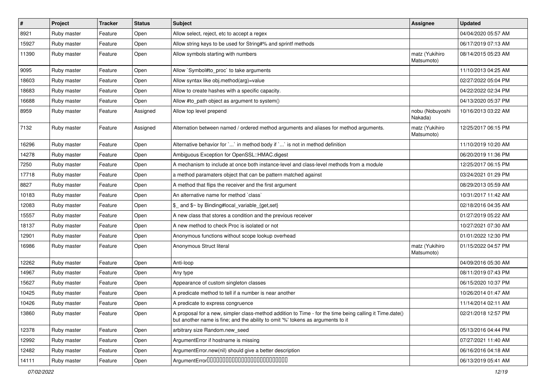| $\vert$ # | Project     | <b>Tracker</b> | <b>Status</b> | <b>Subject</b>                                                                                                                                                                             | <b>Assignee</b>              | <b>Updated</b>      |
|-----------|-------------|----------------|---------------|--------------------------------------------------------------------------------------------------------------------------------------------------------------------------------------------|------------------------------|---------------------|
| 8921      | Ruby master | Feature        | Open          | Allow select, reject, etc to accept a regex                                                                                                                                                |                              | 04/04/2020 05:57 AM |
| 15927     | Ruby master | Feature        | Open          | Allow string keys to be used for String#% and sprintf methods                                                                                                                              |                              | 06/17/2019 07:13 AM |
| 11390     | Ruby master | Feature        | Open          | Allow symbols starting with numbers                                                                                                                                                        | matz (Yukihiro<br>Matsumoto) | 08/14/2015 05:23 AM |
| 9095      | Ruby master | Feature        | Open          | Allow `Symbol#to_proc` to take arguments                                                                                                                                                   |                              | 11/10/2013 04:25 AM |
| 18603     | Ruby master | Feature        | Open          | Allow syntax like obj.method(arg)=value                                                                                                                                                    |                              | 02/27/2022 05:04 PM |
| 18683     | Ruby master | Feature        | Open          | Allow to create hashes with a specific capacity.                                                                                                                                           |                              | 04/22/2022 02:34 PM |
| 16688     | Ruby master | Feature        | Open          | Allow #to_path object as argument to system()                                                                                                                                              |                              | 04/13/2020 05:37 PM |
| 8959      | Ruby master | Feature        | Assigned      | Allow top level prepend                                                                                                                                                                    | nobu (Nobuyoshi<br>Nakada)   | 10/16/2013 03:22 AM |
| 7132      | Ruby master | Feature        | Assigned      | Alternation between named / ordered method arguments and aliases for method arguments.                                                                                                     | matz (Yukihiro<br>Matsumoto) | 12/25/2017 06:15 PM |
| 16296     | Ruby master | Feature        | Open          | Alternative behavior for ` ` in method body if ` ` is not in method definition                                                                                                             |                              | 11/10/2019 10:20 AM |
| 14278     | Ruby master | Feature        | Open          | Ambiguous Exception for OpenSSL::HMAC.digest                                                                                                                                               |                              | 06/20/2019 11:36 PM |
| 7250      | Ruby master | Feature        | Open          | A mechanism to include at once both instance-level and class-level methods from a module                                                                                                   |                              | 12/25/2017 06:15 PM |
| 17718     | Ruby master | Feature        | Open          | a method paramaters object that can be pattern matched against                                                                                                                             |                              | 03/24/2021 01:29 PM |
| 8827      | Ruby master | Feature        | Open          | A method that flips the receiver and the first argument                                                                                                                                    |                              | 08/29/2013 05:59 AM |
| 10183     | Ruby master | Feature        | Open          | An alternative name for method `class`                                                                                                                                                     |                              | 10/31/2017 11:42 AM |
| 12083     | Ruby master | Feature        | Open          | \$ and \$~ by Binding#local variable {get,set}                                                                                                                                             |                              | 02/18/2016 04:35 AM |
| 15557     | Ruby master | Feature        | Open          | A new class that stores a condition and the previous receiver                                                                                                                              |                              | 01/27/2019 05:22 AM |
| 18137     | Ruby master | Feature        | Open          | A new method to check Proc is isolated or not                                                                                                                                              |                              | 10/27/2021 07:30 AM |
| 12901     | Ruby master | Feature        | Open          | Anonymous functions without scope lookup overhead                                                                                                                                          |                              | 01/01/2022 12:30 PM |
| 16986     | Ruby master | Feature        | Open          | Anonymous Struct literal                                                                                                                                                                   | matz (Yukihiro<br>Matsumoto) | 01/15/2022 04:57 PM |
| 12262     | Ruby master | Feature        | Open          | Anti-loop                                                                                                                                                                                  |                              | 04/09/2016 05:30 AM |
| 14967     | Ruby master | Feature        | Open          | Any type                                                                                                                                                                                   |                              | 08/11/2019 07:43 PM |
| 15627     | Ruby master | Feature        | Open          | Appearance of custom singleton classes                                                                                                                                                     |                              | 06/15/2020 10:37 PM |
| 10425     | Ruby master | Feature        | Open          | A predicate method to tell if a number is near another                                                                                                                                     |                              | 10/26/2014 01:47 AM |
| 10426     | Ruby master | Feature        | Open          | A predicate to express congruence                                                                                                                                                          |                              | 11/14/2014 02:11 AM |
| 13860     | Ruby master | Feature        | Open          | A proposal for a new, simpler class-method addition to Time - for the time being calling it Time.date()<br>but another name is fine; and the ability to omit '%' tokens as arguments to it |                              | 02/21/2018 12:57 PM |
| 12378     | Ruby master | Feature        | Open          | arbitrary size Random.new seed                                                                                                                                                             |                              | 05/13/2016 04:44 PM |
| 12992     | Ruby master | Feature        | Open          | ArgumentError if hostname is missing                                                                                                                                                       |                              | 07/27/2021 11:40 AM |
| 12482     | Ruby master | Feature        | Open          | ArgumentError.new(nil) should give a better description                                                                                                                                    |                              | 06/16/2016 04:18 AM |
| 14111     | Ruby master | Feature        | Open          | ArgumentError00000000000000000000000000                                                                                                                                                    |                              | 06/13/2019 05:41 AM |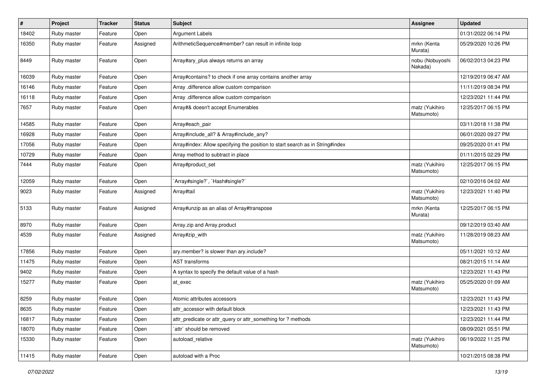| $\vert$ # | Project     | <b>Tracker</b> | <b>Status</b> | <b>Subject</b>                                                                | <b>Assignee</b>              | <b>Updated</b>      |
|-----------|-------------|----------------|---------------|-------------------------------------------------------------------------------|------------------------------|---------------------|
| 18402     | Ruby master | Feature        | Open          | <b>Argument Labels</b>                                                        |                              | 01/31/2022 06:14 PM |
| 16350     | Ruby master | Feature        | Assigned      | ArithmeticSequence#member? can result in infinite loop                        | mrkn (Kenta<br>Murata)       | 05/29/2020 10:26 PM |
| 8449      | Ruby master | Feature        | Open          | Array#ary_plus always returns an array                                        | nobu (Nobuyoshi<br>Nakada)   | 06/02/2013 04:23 PM |
| 16039     | Ruby master | Feature        | Open          | Array#contains? to check if one array contains another array                  |                              | 12/19/2019 06:47 AM |
| 16146     | Ruby master | Feature        | Open          | Array .difference allow custom comparison                                     |                              | 11/11/2019 08:34 PM |
| 16118     | Ruby master | Feature        | Open          | Array .difference allow custom comparison                                     |                              | 12/23/2021 11:44 PM |
| 7657      | Ruby master | Feature        | Open          | Array#& doesn't accept Enumerables                                            | matz (Yukihiro<br>Matsumoto) | 12/25/2017 06:15 PM |
| 14585     | Ruby master | Feature        | Open          | Array#each_pair                                                               |                              | 03/11/2018 11:38 PM |
| 16928     | Ruby master | Feature        | Open          | Array#include_all? & Array#include_any?                                       |                              | 06/01/2020 09:27 PM |
| 17056     | Ruby master | Feature        | Open          | Array#index: Allow specifying the position to start search as in String#index |                              | 09/25/2020 01:41 PM |
| 10729     | Ruby master | Feature        | Open          | Array method to subtract in place                                             |                              | 01/11/2015 02:29 PM |
| 7444      | Ruby master | Feature        | Open          | Array#product_set                                                             | matz (Yukihiro<br>Matsumoto) | 12/25/2017 06:15 PM |
| 12059     | Ruby master | Feature        | Open          | `Array#single?`, `Hash#single?`                                               |                              | 02/10/2016 04:02 AM |
| 9023      | Ruby master | Feature        | Assigned      | Array#tail                                                                    | matz (Yukihiro<br>Matsumoto) | 12/23/2021 11:40 PM |
| 5133      | Ruby master | Feature        | Assigned      | Array#unzip as an alias of Array#transpose                                    | mrkn (Kenta<br>Murata)       | 12/25/2017 06:15 PM |
| 8970      | Ruby master | Feature        | Open          | Array.zip and Array.product                                                   |                              | 09/12/2019 03:40 AM |
| 4539      | Ruby master | Feature        | Assigned      | Array#zip_with                                                                | matz (Yukihiro<br>Matsumoto) | 11/28/2019 08:23 AM |
| 17856     | Ruby master | Feature        | Open          | ary.member? is slower than ary.include?                                       |                              | 05/11/2021 10:12 AM |
| 11475     | Ruby master | Feature        | Open          | <b>AST</b> transforms                                                         |                              | 08/21/2015 11:14 AM |
| 9402      | Ruby master | Feature        | Open          | A syntax to specify the default value of a hash                               |                              | 12/23/2021 11:43 PM |
| 15277     | Ruby master | Feature        | Open          | at exec                                                                       | matz (Yukihiro<br>Matsumoto) | 05/25/2020 01:09 AM |
| 8259      | Ruby master | Feature        | Open          | Atomic attributes accessors                                                   |                              | 12/23/2021 11:43 PM |
| 8635      | Ruby master | Feature        | Open          | attr_accessor with default block                                              |                              | 12/23/2021 11:43 PM |
| 16817     | Ruby master | Feature        | Open          | attr predicate or attr query or attr something for ? methods                  |                              | 12/23/2021 11:44 PM |
| 18070     | Ruby master | Feature        | Open          | `attr` should be removed                                                      |                              | 08/09/2021 05:51 PM |
| 15330     | Ruby master | Feature        | Open          | autoload relative                                                             | matz (Yukihiro<br>Matsumoto) | 06/19/2022 11:25 PM |
| 11415     | Ruby master | Feature        | Open          | autoload with a Proc                                                          |                              | 10/21/2015 08:38 PM |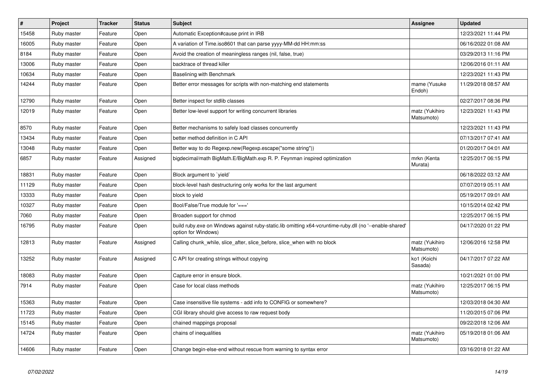| $\vert$ # | <b>Project</b> | <b>Tracker</b> | <b>Status</b> | <b>Subject</b>                                                                                                                 | Assignee                     | <b>Updated</b>      |
|-----------|----------------|----------------|---------------|--------------------------------------------------------------------------------------------------------------------------------|------------------------------|---------------------|
| 15458     | Ruby master    | Feature        | Open          | Automatic Exception#cause print in IRB                                                                                         |                              | 12/23/2021 11:44 PM |
| 16005     | Ruby master    | Feature        | Open          | A variation of Time.iso8601 that can parse yyyy-MM-dd HH:mm:ss                                                                 |                              | 06/16/2022 01:08 AM |
| 8184      | Ruby master    | Feature        | Open          | Avoid the creation of meaningless ranges (nil, false, true)                                                                    |                              | 03/29/2013 11:16 PM |
| 13006     | Ruby master    | Feature        | Open          | backtrace of thread killer                                                                                                     |                              | 12/06/2016 01:11 AM |
| 10634     | Ruby master    | Feature        | Open          | Baselining with Benchmark                                                                                                      |                              | 12/23/2021 11:43 PM |
| 14244     | Ruby master    | Feature        | Open          | Better error messages for scripts with non-matching end statements                                                             | mame (Yusuke<br>Endoh)       | 11/29/2018 08:57 AM |
| 12790     | Ruby master    | Feature        | Open          | Better inspect for stdlib classes                                                                                              |                              | 02/27/2017 08:36 PM |
| 12019     | Ruby master    | Feature        | Open          | Better low-level support for writing concurrent libraries                                                                      | matz (Yukihiro<br>Matsumoto) | 12/23/2021 11:43 PM |
| 8570      | Ruby master    | Feature        | Open          | Better mechanisms to safely load classes concurrently                                                                          |                              | 12/23/2021 11:43 PM |
| 13434     | Ruby master    | Feature        | Open          | better method definition in C API                                                                                              |                              | 07/13/2017 07:41 AM |
| 13048     | Ruby master    | Feature        | Open          | Better way to do Regexp.new(Regexp.escape("some string"))                                                                      |                              | 01/20/2017 04:01 AM |
| 6857      | Ruby master    | Feature        | Assigned      | bigdecimal/math BigMath.E/BigMath.exp R. P. Feynman inspired optimization                                                      | mrkn (Kenta<br>Murata)       | 12/25/2017 06:15 PM |
| 18831     | Ruby master    | Feature        | Open          | Block argument to `yield`                                                                                                      |                              | 06/18/2022 03:12 AM |
| 11129     | Ruby master    | Feature        | Open          | block-level hash destructuring only works for the last argument                                                                |                              | 07/07/2019 05:11 AM |
| 13333     | Ruby master    | Feature        | Open          | block to yield                                                                                                                 |                              | 05/19/2017 09:01 AM |
| 10327     | Ruby master    | Feature        | Open          | Bool/False/True module for '==='                                                                                               |                              | 10/15/2014 02:42 PM |
| 7060      | Ruby master    | Feature        | Open          | Broaden support for chmod                                                                                                      |                              | 12/25/2017 06:15 PM |
| 16795     | Ruby master    | Feature        | Open          | build ruby exe on Windows against ruby-static.lib omitting x64-vcruntime-ruby dll (no '--enable-shared'<br>option for Windows) |                              | 04/17/2020 01:22 PM |
| 12813     | Ruby master    | Feature        | Assigned      | Calling chunk_while, slice_after, slice_before, slice_when with no block                                                       | matz (Yukihiro<br>Matsumoto) | 12/06/2016 12:58 PM |
| 13252     | Ruby master    | Feature        | Assigned      | C API for creating strings without copying                                                                                     | ko1 (Koichi<br>Sasada)       | 04/17/2017 07:22 AM |
| 18083     | Ruby master    | Feature        | Open          | Capture error in ensure block.                                                                                                 |                              | 10/21/2021 01:00 PM |
| 7914      | Ruby master    | Feature        | Open          | Case for local class methods                                                                                                   | matz (Yukihiro<br>Matsumoto) | 12/25/2017 06:15 PM |
| 15363     | Ruby master    | Feature        | Open          | Case insensitive file systems - add info to CONFIG or somewhere?                                                               |                              | 12/03/2018 04:30 AM |
| 11723     | Ruby master    | Feature        | Open          | CGI library should give access to raw request body                                                                             |                              | 11/20/2015 07:06 PM |
| 15145     | Ruby master    | Feature        | Open          | chained mappings proposal                                                                                                      |                              | 09/22/2018 12:06 AM |
| 14724     | Ruby master    | Feature        | Open          | chains of inequalities                                                                                                         | matz (Yukihiro<br>Matsumoto) | 05/19/2018 01:06 AM |
| 14606     | Ruby master    | Feature        | Open          | Change begin-else-end without rescue from warning to syntax error                                                              |                              | 03/16/2018 01:22 AM |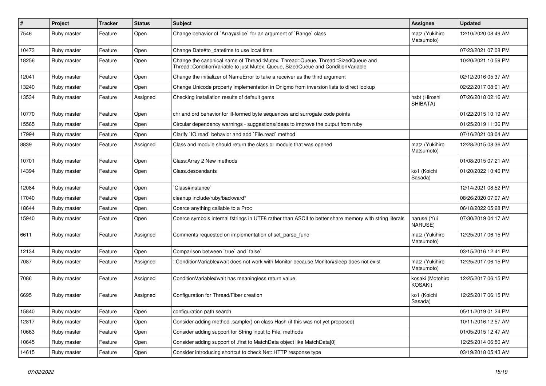| $\#$  | Project     | <b>Tracker</b> | <b>Status</b> | Subject                                                                                                                                                               | Assignee                     | <b>Updated</b>      |
|-------|-------------|----------------|---------------|-----------------------------------------------------------------------------------------------------------------------------------------------------------------------|------------------------------|---------------------|
| 7546  | Ruby master | Feature        | Open          | Change behavior of `Array#slice` for an argument of `Range` class                                                                                                     | matz (Yukihiro<br>Matsumoto) | 12/10/2020 08:49 AM |
| 10473 | Ruby master | Feature        | Open          | Change Date#to_datetime to use local time                                                                                                                             |                              | 07/23/2021 07:08 PM |
| 18256 | Ruby master | Feature        | Open          | Change the canonical name of Thread::Mutex, Thread::Queue, Thread::SizedQueue and<br>Thread::ConditionVariable to just Mutex, Queue, SizedQueue and ConditionVariable |                              | 10/20/2021 10:59 PM |
| 12041 | Ruby master | Feature        | Open          | Change the initializer of NameError to take a receiver as the third argument                                                                                          |                              | 02/12/2016 05:37 AM |
| 13240 | Ruby master | Feature        | Open          | Change Unicode property implementation in Onigmo from inversion lists to direct lookup                                                                                |                              | 02/22/2017 08:01 AM |
| 13534 | Ruby master | Feature        | Assigned      | Checking installation results of default gems                                                                                                                         | hsbt (Hiroshi<br>SHIBATA)    | 07/26/2018 02:16 AM |
| 10770 | Ruby master | Feature        | Open          | chr and ord behavior for ill-formed byte sequences and surrogate code points                                                                                          |                              | 01/22/2015 10:19 AM |
| 15565 | Ruby master | Feature        | Open          | Circular dependency warnings - suggestions/ideas to improve the output from ruby                                                                                      |                              | 01/25/2019 11:36 PM |
| 17994 | Ruby master | Feature        | Open          | Clarify 'IO.read' behavior and add 'File.read' method                                                                                                                 |                              | 07/16/2021 03:04 AM |
| 8839  | Ruby master | Feature        | Assigned      | Class and module should return the class or module that was opened                                                                                                    | matz (Yukihiro<br>Matsumoto) | 12/28/2015 08:36 AM |
| 10701 | Ruby master | Feature        | Open          | Class: Array 2 New methods                                                                                                                                            |                              | 01/08/2015 07:21 AM |
| 14394 | Ruby master | Feature        | Open          | Class.descendants                                                                                                                                                     | ko1 (Koichi<br>Sasada)       | 01/20/2022 10:46 PM |
| 12084 | Ruby master | Feature        | Open          | Class#instance`                                                                                                                                                       |                              | 12/14/2021 08:52 PM |
| 17040 | Ruby master | Feature        | Open          | cleanup include/ruby/backward*                                                                                                                                        |                              | 08/26/2020 07:07 AM |
| 18644 | Ruby master | Feature        | Open          | Coerce anything callable to a Proc                                                                                                                                    |                              | 06/18/2022 05:28 PM |
| 15940 | Ruby master | Feature        | Open          | Coerce symbols internal fstrings in UTF8 rather than ASCII to better share memory with string literals                                                                | naruse (Yui<br>NARUSE)       | 07/30/2019 04:17 AM |
| 6611  | Ruby master | Feature        | Assigned      | Comments requested on implementation of set_parse_func                                                                                                                | matz (Yukihiro<br>Matsumoto) | 12/25/2017 06:15 PM |
| 12134 | Ruby master | Feature        | Open          | Comparison between 'true' and 'false'                                                                                                                                 |                              | 03/15/2016 12:41 PM |
| 7087  | Ruby master | Feature        | Assigned      | ::ConditionVariable#wait does not work with Monitor because Monitor#sleep does not exist                                                                              | matz (Yukihiro<br>Matsumoto) | 12/25/2017 06:15 PM |
| 7086  | Ruby master | Feature        | Assigned      | ConditionVariable#wait has meaningless return value                                                                                                                   | kosaki (Motohiro<br>KOSAKI)  | 12/25/2017 06:15 PM |
| 6695  | Ruby master | Feature        | Assigned      | Configuration for Thread/Fiber creation                                                                                                                               | ko1 (Koichi<br>Sasada)       | 12/25/2017 06:15 PM |
| 15840 | Ruby master | Feature        | Open          | configuration path search                                                                                                                                             |                              | 05/11/2019 01:24 PM |
| 12817 | Ruby master | Feature        | Open          | Consider adding method .sample() on class Hash (if this was not yet proposed)                                                                                         |                              | 10/11/2016 12:57 AM |
| 10663 | Ruby master | Feature        | Open          | Consider adding support for String input to File. methods                                                                                                             |                              | 01/05/2015 12:47 AM |
| 10645 | Ruby master | Feature        | Open          | Consider adding support of .first to MatchData object like MatchData[0]                                                                                               |                              | 12/25/2014 06:50 AM |
| 14615 | Ruby master | Feature        | Open          | Consider introducing shortcut to check Net::HTTP response type                                                                                                        |                              | 03/19/2018 05:43 AM |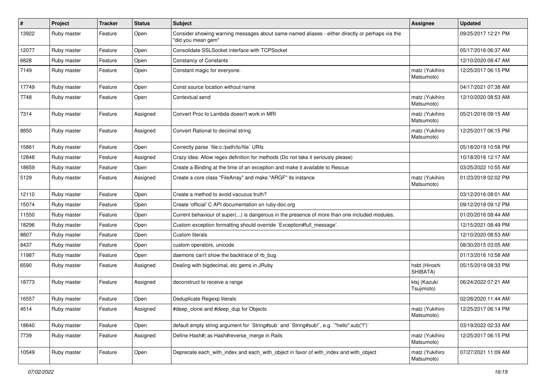| $\pmb{\#}$ | Project     | <b>Tracker</b> | <b>Status</b> | <b>Subject</b>                                                                                                        | <b>Assignee</b>              | <b>Updated</b>      |
|------------|-------------|----------------|---------------|-----------------------------------------------------------------------------------------------------------------------|------------------------------|---------------------|
| 13922      | Ruby master | Feature        | Open          | Consider showing warning messages about same-named aliases - either directly or perhaps via the<br>"did you mean gem" |                              | 09/25/2017 12:21 PM |
| 12077      | Ruby master | Feature        | Open          | Consolidate SSLSocket interface with TCPSocket                                                                        |                              | 05/17/2016 06:37 AM |
| 6828       | Ruby master | Feature        | Open          | <b>Constancy of Constants</b>                                                                                         |                              | 12/10/2020 08:47 AM |
| 7149       | Ruby master | Feature        | Open          | Constant magic for everyone.                                                                                          | matz (Yukihiro<br>Matsumoto) | 12/25/2017 06:15 PM |
| 17749      | Ruby master | Feature        | Open          | Const source location without name                                                                                    |                              | 04/17/2021 07:38 AM |
| 7748       | Ruby master | Feature        | Open          | Contextual send                                                                                                       | matz (Yukihiro<br>Matsumoto) | 12/10/2020 08:53 AM |
| 7314       | Ruby master | Feature        | Assigned      | Convert Proc to Lambda doesn't work in MRI                                                                            | matz (Yukihiro<br>Matsumoto) | 05/21/2016 09:15 AM |
| 8850       | Ruby master | Feature        | Assigned      | Convert Rational to decimal string                                                                                    | matz (Yukihiro<br>Matsumoto) | 12/25/2017 06:15 PM |
| 15861      | Ruby master | Feature        | Open          | Correctly parse `file:c:/path/to/file` URIs                                                                           |                              | 05/18/2019 10:58 PM |
| 12848      | Ruby master | Feature        | Assigned      | Crazy idea: Allow regex definition for methods (Do not take it seriously please)                                      |                              | 10/18/2016 12:17 AM |
| 18659      | Ruby master | Feature        | Open          | Create a Binding at the time of an exception and make it available to Rescue                                          |                              | 03/25/2022 10:55 AM |
| 5129       | Ruby master | Feature        | Assigned      | Create a core class "FileArray" and make "ARGF" its instance                                                          | matz (Yukihiro<br>Matsumoto) | 01/23/2018 02:02 PM |
| 12110      | Ruby master | Feature        | Open          | Create a method to avoid vacuous truth?                                                                               |                              | 03/12/2016 08:01 AM |
| 15074      | Ruby master | Feature        | Open          | Create 'official' C API documentation on ruby-doc.org                                                                 |                              | 09/12/2018 09:12 PM |
| 11550      | Ruby master | Feature        | Open          | Current behaviour of super() is dangerous in the presence of more than one included modules.                          |                              | 01/20/2016 08:44 AM |
| 18296      | Ruby master | Feature        | Open          | Custom exception formatting should override `Exception#full_message`.                                                 |                              | 12/15/2021 08:49 PM |
| 8807       | Ruby master | Feature        | Open          | Custom literals                                                                                                       |                              | 12/10/2020 08:53 AM |
| 8437       | Ruby master | Feature        | Open          | custom operators, unicode                                                                                             |                              | 08/30/2015 03:05 AM |
| 11987      | Ruby master | Feature        | Open          | daemons can't show the backtrace of rb bug                                                                            |                              | 01/13/2016 10:58 AM |
| 6590       | Ruby master | Feature        | Assigned      | Dealing with bigdecimal, etc gems in JRuby                                                                            | hsbt (Hiroshi<br>SHIBATA)    | 05/15/2019 08:33 PM |
| 18773      | Ruby master | Feature        | Assigned      | deconstruct to receive a range                                                                                        | ktsj (Kazuki<br>Tsujimoto)   | 06/24/2022 07:21 AM |
| 16557      | Ruby master | Feature        | Open          | Deduplicate Regexp literals                                                                                           |                              | 02/28/2020 11:44 AM |
| 4514       | Ruby master | Feature        | Assigned      | #deep_clone and #deep_dup for Objects                                                                                 | matz (Yukihiro<br>Matsumoto) | 12/25/2017 06:14 PM |
| 18640      | Ruby master | Feature        | Open          | default empty string argument for `String#sub` and `String#sub!`, e.g. `"hello".sub("I")`                             |                              | 03/19/2022 02:33 AM |
| 7739       | Ruby master | Feature        | Assigned      | Define Hash#  as Hash#reverse_merge in Rails                                                                          | matz (Yukihiro<br>Matsumoto) | 12/25/2017 06:15 PM |
| 10549      | Ruby master | Feature        | Open          | Deprecate each_with_index and each_with_object in favor of with_index and with_object                                 | matz (Yukihiro<br>Matsumoto) | 07/27/2021 11:09 AM |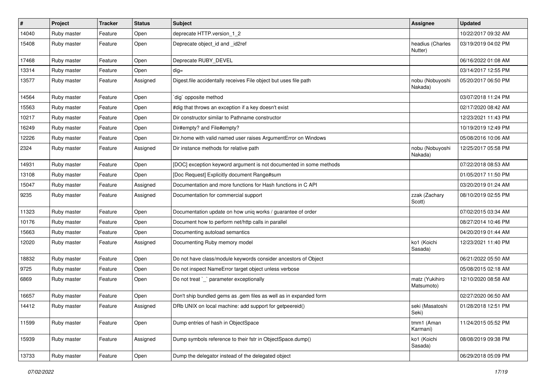| $\vert$ # | Project     | <b>Tracker</b> | <b>Status</b> | <b>Subject</b>                                                     | <b>Assignee</b>              | <b>Updated</b>      |
|-----------|-------------|----------------|---------------|--------------------------------------------------------------------|------------------------------|---------------------|
| 14040     | Ruby master | Feature        | Open          | deprecate HTTP.version_1_2                                         |                              | 10/22/2017 09:32 AM |
| 15408     | Ruby master | Feature        | Open          | Deprecate object_id and _id2ref                                    | headius (Charles<br>Nutter)  | 03/19/2019 04:02 PM |
| 17468     | Ruby master | Feature        | Open          | Deprecate RUBY_DEVEL                                               |                              | 06/16/2022 01:08 AM |
| 13314     | Ruby master | Feature        | Open          | $dig =$                                                            |                              | 03/14/2017 12:55 PM |
| 13577     | Ruby master | Feature        | Assigned      | Digest file accidentally receives File object but uses file path   | nobu (Nobuyoshi<br>Nakada)   | 05/20/2017 06:50 PM |
| 14564     | Ruby master | Feature        | Open          | dig` opposite method                                               |                              | 03/07/2018 11:24 PM |
| 15563     | Ruby master | Feature        | Open          | #dig that throws an exception if a key doesn't exist               |                              | 02/17/2020 08:42 AM |
| 10217     | Ruby master | Feature        | Open          | Dir constructor similar to Pathname constructor                    |                              | 12/23/2021 11:43 PM |
| 16249     | Ruby master | Feature        | Open          | Dir#empty? and File#empty?                                         |                              | 10/19/2019 12:49 PM |
| 12226     | Ruby master | Feature        | Open          | Dir.home with valid named user raises ArgumentError on Windows     |                              | 05/08/2016 10:06 AM |
| 2324      | Ruby master | Feature        | Assigned      | Dir instance methods for relative path                             | nobu (Nobuyoshi<br>Nakada)   | 12/25/2017 05:58 PM |
| 14931     | Ruby master | Feature        | Open          | [DOC] exception keyword argument is not documented in some methods |                              | 07/22/2018 08:53 AM |
| 13108     | Ruby master | Feature        | Open          | [Doc Request] Explicitly document Range#sum                        |                              | 01/05/2017 11:50 PM |
| 15047     | Ruby master | Feature        | Assigned      | Documentation and more functions for Hash functions in C API       |                              | 03/20/2019 01:24 AM |
| 9235      | Ruby master | Feature        | Assigned      | Documentation for commercial support                               | zzak (Zachary<br>Scott)      | 08/10/2019 02:55 PM |
| 11323     | Ruby master | Feature        | Open          | Documentation update on how uniq works / guarantee of order        |                              | 07/02/2015 03:34 AM |
| 10176     | Ruby master | Feature        | Open          | Document how to perform net/http calls in parallel                 |                              | 08/27/2014 10:46 PM |
| 15663     | Ruby master | Feature        | Open          | Documenting autoload semantics                                     |                              | 04/20/2019 01:44 AM |
| 12020     | Ruby master | Feature        | Assigned      | Documenting Ruby memory model                                      | ko1 (Koichi<br>Sasada)       | 12/23/2021 11:40 PM |
| 18832     | Ruby master | Feature        | Open          | Do not have class/module keywords consider ancestors of Object     |                              | 06/21/2022 05:50 AM |
| 9725      | Ruby master | Feature        | Open          | Do not inspect NameError target object unless verbose              |                              | 05/08/2015 02:18 AM |
| 6869      | Ruby master | Feature        | Open          | Do not treat `_` parameter exceptionally                           | matz (Yukihiro<br>Matsumoto) | 12/10/2020 08:58 AM |
| 16657     | Ruby master | Feature        | Open          | Don't ship bundled gems as .gem files as well as in expanded form  |                              | 02/27/2020 06:50 AM |
| 14412     | Ruby master | Feature        | Assigned      | DRb UNIX on local machine: add support for getpeereid()            | seki (Masatoshi<br>Seki)     | 01/28/2018 12:51 PM |
| 11599     | Ruby master | Feature        | Open          | Dump entries of hash in ObjectSpace                                | tmm1 (Aman<br>Karmani)       | 11/24/2015 05:52 PM |
| 15939     | Ruby master | Feature        | Assigned      | Dump symbols reference to their fstr in ObjectSpace.dump()         | ko1 (Koichi<br>Sasada)       | 08/08/2019 09:38 PM |
| 13733     | Ruby master | Feature        | Open          | Dump the delegator instead of the delegated object                 |                              | 06/29/2018 05:09 PM |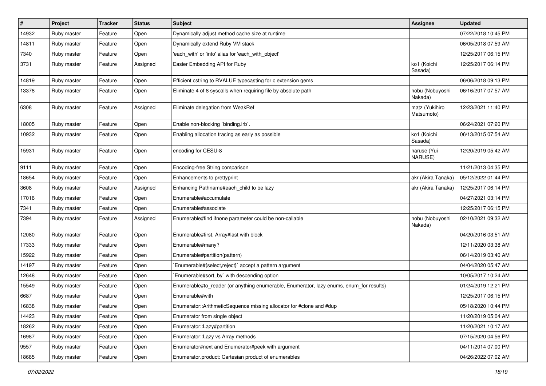| $\sharp$ | Project     | <b>Tracker</b> | <b>Status</b> | <b>Subject</b>                                                                          | <b>Assignee</b>              | <b>Updated</b>      |
|----------|-------------|----------------|---------------|-----------------------------------------------------------------------------------------|------------------------------|---------------------|
| 14932    | Ruby master | Feature        | Open          | Dynamically adjust method cache size at runtime                                         |                              | 07/22/2018 10:45 PM |
| 14811    | Ruby master | Feature        | Open          | Dynamically extend Ruby VM stack                                                        |                              | 06/05/2018 07:59 AM |
| 7340     | Ruby master | Feature        | Open          | 'each with' or 'into' alias for 'each with object'                                      |                              | 12/25/2017 06:15 PM |
| 3731     | Ruby master | Feature        | Assigned      | Easier Embedding API for Ruby                                                           | ko1 (Koichi<br>Sasada)       | 12/25/2017 06:14 PM |
| 14819    | Ruby master | Feature        | Open          | Efficient cstring to RVALUE typecasting for c extension gems                            |                              | 06/06/2018 09:13 PM |
| 13378    | Ruby master | Feature        | Open          | Eliminate 4 of 8 syscalls when requiring file by absolute path                          | nobu (Nobuyoshi<br>Nakada)   | 06/16/2017 07:57 AM |
| 6308     | Ruby master | Feature        | Assigned      | Eliminate delegation from WeakRef                                                       | matz (Yukihiro<br>Matsumoto) | 12/23/2021 11:40 PM |
| 18005    | Ruby master | Feature        | Open          | Enable non-blocking `binding.irb`.                                                      |                              | 06/24/2021 07:20 PM |
| 10932    | Ruby master | Feature        | Open          | Enabling allocation tracing as early as possible                                        | ko1 (Koichi<br>Sasada)       | 06/13/2015 07:54 AM |
| 15931    | Ruby master | Feature        | Open          | encoding for CESU-8                                                                     | naruse (Yui<br>NARUSE)       | 12/20/2019 05:42 AM |
| 9111     | Ruby master | Feature        | Open          | Encoding-free String comparison                                                         |                              | 11/21/2013 04:35 PM |
| 18654    | Ruby master | Feature        | Open          | Enhancements to prettyprint                                                             | akr (Akira Tanaka)           | 05/12/2022 01:44 PM |
| 3608     | Ruby master | Feature        | Assigned      | Enhancing Pathname#each_child to be lazy                                                | akr (Akira Tanaka)           | 12/25/2017 06:14 PM |
| 17016    | Ruby master | Feature        | Open          | Enumerable#accumulate                                                                   |                              | 04/27/2021 03:14 PM |
| 7341     | Ruby master | Feature        | Open          | Enumerable#associate                                                                    |                              | 12/25/2017 06:15 PM |
| 7394     | Ruby master | Feature        | Assigned      | Enumerable#find ifnone parameter could be non-callable                                  | nobu (Nobuyoshi<br>Nakada)   | 02/10/2021 09:32 AM |
| 12080    | Ruby master | Feature        | Open          | Enumerable#first, Array#last with block                                                 |                              | 04/20/2016 03:51 AM |
| 17333    | Ruby master | Feature        | Open          | Enumerable#many?                                                                        |                              | 12/11/2020 03:38 AM |
| 15922    | Ruby master | Feature        | Open          | Enumerable#partition(pattern)                                                           |                              | 06/14/2019 03:40 AM |
| 14197    | Ruby master | Feature        | Open          | Enumerable#{select,reject}` accept a pattern argument                                   |                              | 04/04/2020 05:47 AM |
| 12648    | Ruby master | Feature        | Open          | Enumerable#sort_by` with descending option                                              |                              | 10/05/2017 10:24 AM |
| 15549    | Ruby master | Feature        | Open          | Enumerable#to_reader (or anything enumerable, Enumerator, lazy enums, enum_for results) |                              | 01/24/2019 12:21 PM |
| 6687     | Ruby master | Feature        | Open          | Enumerable#with                                                                         |                              | 12/25/2017 06:15 PM |
| 16838    | Ruby master | Feature        | Open          | Enumerator::ArithmeticSequence missing allocator for #clone and #dup                    |                              | 05/18/2020 10:44 PM |
| 14423    | Ruby master | Feature        | Open          | Enumerator from single object                                                           |                              | 11/20/2019 05:04 AM |
| 18262    | Ruby master | Feature        | Open          | Enumerator::Lazy#partition                                                              |                              | 11/20/2021 10:17 AM |
| 16987    | Ruby master | Feature        | Open          | Enumerator::Lazy vs Array methods                                                       |                              | 07/15/2020 04:56 PM |
| 9557     | Ruby master | Feature        | Open          | Enumerator#next and Enumerator#peek with argument                                       |                              | 04/11/2014 07:00 PM |
| 18685    | Ruby master | Feature        | Open          | Enumerator.product: Cartesian product of enumerables                                    |                              | 04/26/2022 07:02 AM |